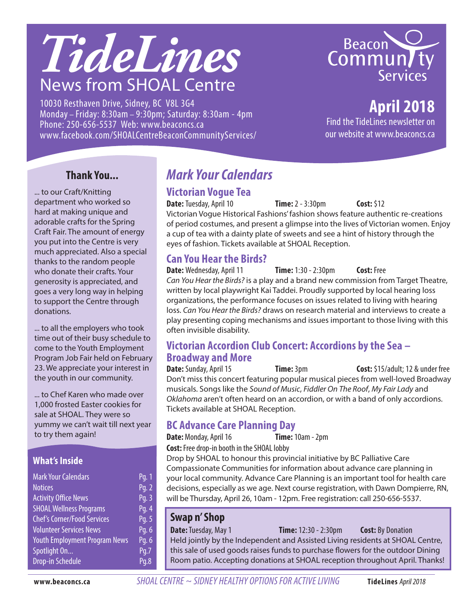# *TideLines* News from SHOAL Centre

10030 Resthaven Drive, Sidney, BC V8L 3G4 Monday – Friday: 8:30am – 9:30pm; Saturday: 8:30am - 4pm Phone: 250-656-5537 Web: www.beaconcs.ca www.facebook.com/SHOALCentreBeaconCommunityServices/



# **April 2018**

Find the TideLines newsletter on our website at www.beaconcs.ca

#### **Thank You...**

... to our Craft/Knitting department who worked so hard at making unique and adorable crafts for the Spring Craft Fair. The amount of energy you put into the Centre is very much appreciated. Also a special thanks to the random people who donate their crafts. Your generosity is appreciated, and goes a very long way in helping to support the Centre through donations.

... to all the employers who took time out of their busy schedule to come to the Youth Employment Program Job Fair held on February 23. We appreciate your interest in the youth in our community.

... to Chef Karen who made over 1,000 frosted Easter cookies for sale at SHOAL. They were so yummy we can't wait till next year to try them again!

#### **What's Inside**

| <b>Mark Your Calendars</b>           | Pg. 1 |
|--------------------------------------|-------|
| <b>Notices</b>                       | Pg. 2 |
| <b>Activity Office News</b>          | Pg. 3 |
| <b>SHOAL Wellness Programs</b>       | Pg. 4 |
| <b>Chef's Corner/Food Services</b>   | Pg. 5 |
| <b>Volunteer Services News</b>       | Pg. 6 |
| <b>Youth Employment Program News</b> | Pg. 6 |
| Spotlight On                         | Pq.7  |
| <b>Drop-in Schedule</b>              | Pq.8  |

# *Mark Your Calendars*

#### **Victorian Vogue Tea**

**Date:** Tuesday, April 10 **Time:** 2 - 3:30pm **Cost:** \$12 Victorian Vogue Historical Fashions' fashion shows feature authentic re-creations of period costumes, and present a glimpse into the lives of Victorian women. Enjoy a cup of tea with a dainty plate of sweets and see a hint of history through the eyes of fashion. Tickets available at SHOAL Reception.

#### **Can You Hear the Birds?**

**Date:** Wednesday, April 11 **Time:** 1:30 - 2:30pm **Cost:** Free *Can You Hear the Birds?* is a play and a brand new commission from Target Theatre, written by local playwright Kai Taddei. Proudly supported by local hearing loss organizations, the performance focuses on issues related to living with hearing loss. *Can You Hear the Birds?* draws on research material and interviews to create a play presenting coping mechanisms and issues important to those living with this often invisible disability.

# **Victorian Accordion Club Concert: Accordions by the Sea – Broadway and More**

**Time:** 3pm **Cost:** \$15/adult; 12 & under free Don't miss this concert featuring popular musical pieces from well-loved Broadway musicals. Songs like the *Sound of Music*, *Fiddler On The Roof*, *My Fair Lady* and *Oklahoma* aren't often heard on an accordion, or with a band of only accordions. Tickets available at SHOAL Reception.

#### **BC Advance Care Planning Day**

**Date:** Monday, April 16 **Time:** 10am - 2pm

**Cost:** Free drop-in booth in the SHOAL lobby

Drop by SHOAL to honour this provincial initiative by BC Palliative Care Compassionate Communities for information about advance care planning in your local community. Advance Care Planning is an important tool for health care decisions, especially as we age. Next course registration, with Dawn Dompierre, RN, will be Thursday, April 26, 10am - 12pm. Free registration: call 250-656-5537.

#### **Swap n' Shop**

**Date:** Tuesday, May 1 **Time:** 12:30 - 2:30pm **Cost:** By Donation Held jointly by the Independent and Assisted Living residents at SHOAL Centre, this sale of used goods raises funds to purchase flowers for the outdoor Dining Room patio. Accepting donations at SHOAL reception throughout April. Thanks!

**www.beaconcs.ca** *SHOAL CENTRE ~ SIDNEY HEALTHY OPTIONS FOR ACTIVE LIVING* **TideLines** April 2018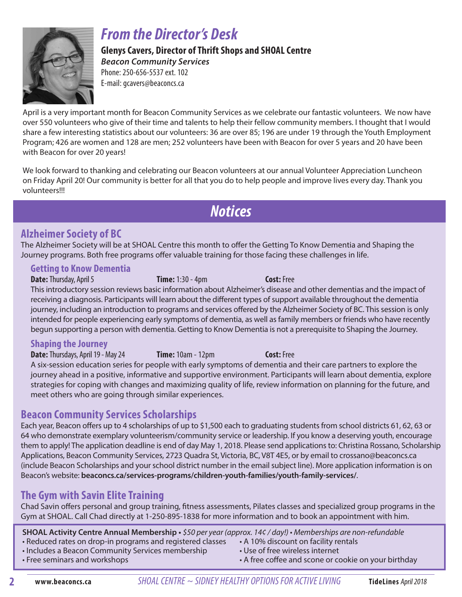

# *From the Director's Desk*

**Glenys Cavers, Director of Thrift Shops and SHOAL Centre**  *Beacon Community Services*

Phone: 250-656-5537 ext. 102 E-mail: gcavers@beaconcs.ca

April is a very important month for Beacon Community Services as we celebrate our fantastic volunteers. We now have over 550 volunteers who give of their time and talents to help their fellow community members. I thought that I would share a few interesting statistics about our volunteers: 36 are over 85; 196 are under 19 through the Youth Employment Program; 426 are women and 128 are men; 252 volunteers have been with Beacon for over 5 years and 20 have been with Beacon for over 20 years!

We look forward to thanking and celebrating our Beacon volunteers at our annual Volunteer Appreciation Luncheon on Friday April 20! Our community is better for all that you do to help people and improve lives every day. Thank you volunteers!!!

*Notices*

#### **Alzheimer Society of BC**

The Alzheimer Society will be at SHOAL Centre this month to offer the Getting To Know Dementia and Shaping the Journey programs. Both free programs offer valuable training for those facing these challenges in life.

#### **Getting to Know Dementia**

**Date:** Thursday, April 5 **Time:** 1:30 - 4pm **Cost:** Free This introductory session reviews basic information about Alzheimer's disease and other dementias and the impact of receiving a diagnosis. Participants will learn about the different types of support available throughout the dementia journey, including an introduction to programs and services offered by the Alzheimer Society of BC. This session is only intended for people experiencing early symptoms of dementia, as well as family members or friends who have recently begun supporting a person with dementia. Getting to Know Dementia is not a prerequisite to Shaping the Journey.

#### **Shaping the Journey**

**Date:** Thursdays, April 19 - May 24 **Time:** 10am - 12pm **Cost:** Free A six-session education series for people with early symptoms of dementia and their care partners to explore the journey ahead in a positive, informative and supportive environment. Participants will learn about dementia, explore strategies for coping with changes and maximizing quality of life, review information on planning for the future, and meet others who are going through similar experiences.

#### **Beacon Community Services Scholarships**

Each year, Beacon offers up to 4 scholarships of up to \$1,500 each to graduating students from school districts 61, 62, 63 or 64 who demonstrate exemplary volunteerism/community service or leadership. If you know a deserving youth, encourage them to apply! The application deadline is end of day May 1, 2018. Please send applications to: Christina Rossano, Scholarship Applications, Beacon Community Services, 2723 Quadra St, Victoria, BC, V8T 4E5, or by email to crossano@beaconcs.ca (include Beacon Scholarships and your school district number in the email subject line). More application information is on Beacon's website: **beaconcs.ca/services-programs/children-youth-families/youth-family-services/**.

#### **The Gym with Savin Elite Training**

Chad Savin offers personal and group training, fitness assessments, Pilates classes and specialized group programs in the Gym at SHOAL. Call Chad directly at 1-250-895-1838 for more information and to book an appointment with him.

**SHOAL Activity Centre Annual Membership •** \$50 per year (approx. 14¢ / day!) • Memberships are non-refundable

- Reduced rates on drop-in programs and registered classes A 10% discount on facility rentals
- Includes a Beacon Community Services membership Use of free wireless internet
- 
- 
- 
- Free seminars and workshops  **A** free coffee and scone or cookie on your birthday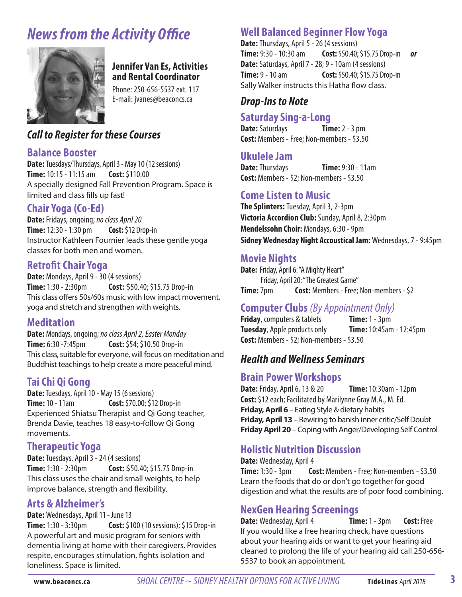# *News from the Activity Office*



#### **Jennifer Van Es, Activities and Rental Coordinator**

Phone: 250-656-5537 ext. 117 E-mail: jvanes@beaconcs.ca

#### *Call to Register for these Courses*

#### **Balance Booster**

**Date:** Tuesdays/Thursdays, April 3 - May 10 (12 sessions) **Time:** 10:15 - 11:15 am **Cost:** \$110.00 A specially designed Fall Prevention Program. Space is limited and class fills up fast!

#### **Chair Yoga (Co-Ed)**

**Date:** Fridays, ongoing; *no class April 20* **Time:** 12:30 - 1:30 pm **Cost:** \$12 Drop-in Instructor Kathleen Fournier leads these gentle yoga classes for both men and women.

#### **Retrofit Chair Yoga**

**Date:** Mondays, April 9 - 30 (4 sessions) **Time:** 1:30 - 2:30pm **Cost:** \$50.40; \$15.75 Drop-in This class offers 50s/60s music with low impact movement, yoga and stretch and strengthen with weights.

#### **Meditation**

**Date:** Mondays, ongoing; *no class April 2, Easter Monday* **Time:** 6:30 -7:45pm **Cost:** \$54; \$10.50 Drop-in This class, suitable for everyone, will focus on meditation and Buddhist teachings to help create a more peaceful mind.

#### **Tai Chi Qi Gong**

**Date:** Tuesdays, April 10 - May 15 (6 sessions) **Time:** 10 - 11am **Cost:** \$70.00; \$12 Drop-in Experienced Shiatsu Therapist and Qi Gong teacher, Brenda Davie, teaches 18 easy-to-follow Qi Gong movements.

#### **Therapeutic Yoga**

**Date:** Tuesdays, April 3 - 24 (4 sessions) **Time:** 1:30 - 2:30pm **Cost:** \$50.40; \$15.75 Drop-in This class uses the chair and small weights, to help improve balance, strength and flexibility.

#### **Arts & Alzheimer's**

**Date:** Wednesdays, April 11 - June 13

**Time:** 1:30 - 3:30pm **Cost:** \$100(10 sessions); \$15 Drop-in A powerful art and music program for seniors with dementia living at home with their caregivers. Provides respite, encourages stimulation, fights isolation and loneliness. Space is limited.

#### **Well Balanced Beginner Flow Yoga**

**Date:** Thursdays, April 5 - 26 (4 sessions) **Time:** 9:30 - 10:30 am **Cost:** \$50.40; \$15.75 Drop-in *or* **Date:** Saturdays, April 7 - 28; 9 - 10am (4 sessions) **Time:** 9 - 10 am **Cost:** \$50.40; \$15.75 Drop-in Sally Walker instructs this Hatha flow class.

#### *Drop-Ins to Note*

#### **Saturday Sing-a-Long**

**Date:** Saturdays **Time:** 2 - 3 pm **Cost:** Members - Free; Non-members - \$3.50

#### **Ukulele Jam**

**Date: Thursdays <b>Time:** 9:30 - 11am **Cost:** Members - \$2; Non-members - \$3.50

#### **Come Listen to Music**

**The Splinters:** Tuesday, April 3, 2-3pm **Victoria Accordion Club:** Sunday, April 8, 2:30pm **Mendelssohn Choir:** Mondays, 6:30 - 9pm **Sidney Wednesday Night Accoustical Jam:** Wednesdays, 7 - 9:45pm

#### **Movie Nights**

**Date:** Friday, April 6: "A Mighty Heart" Friday, April 20: "The Greatest Game" **Time:** 7pm **Cost:** Members - Free; Non-members - \$2

#### **Computer Clubs** *(By Appointment Only)*

**Friday**, computers & tablets **Time:** 1 - 3pm **Tuesday**, Apple products only **Time:** 10:45am - 12:45pm **Cost:** Members - \$2; Non-members - \$3.50

#### *Health and Wellness Seminars*

#### **Brain Power Workshops**

**Date:** Friday, April 6, 13 & 20 **Time:** 10:30am - 12pm **Cost:** \$12 each; Facilitated by Marilynne Gray M.A., M. Ed. **Friday, April 6** – Eating Style & dietary habits **Friday, April 13** – Rewiring to banish inner critic/Self Doubt **Friday April 20** – Coping with Anger/Developing Self Control

#### **Holistic Nutrition Discussion**

**Date:** Wednesday, April 4 **Time:** 1:30 - 3pm **Cost:** Members - Free; Non-members - \$3.50 Learn the foods that do or don't go together for good digestion and what the results are of poor food combining.

#### **NexGen Hearing Screenings**

**Date:** Wednesday, April 4 **Time:** 1 - 3pm **Cost:** Free If you would like a free hearing check, have questions about your hearing aids or want to get your hearing aid cleaned to prolong the life of your hearing aid call 250-656- 5537 to book an appointment.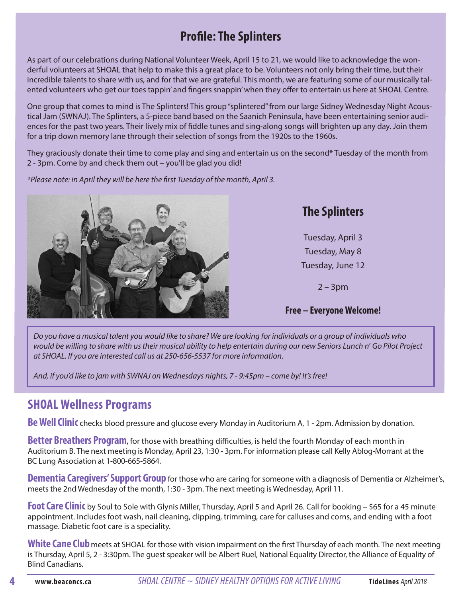# **Profile: The Splinters**

As part of our celebrations during National Volunteer Week, April 15 to 21, we would like to acknowledge the wonderful volunteers at SHOAL that help to make this a great place to be. Volunteers not only bring their time, but their incredible talents to share with us, and for that we are grateful. This month, we are featuring some of our musically talented volunteers who get our toes tappin' and fingers snappin' when they offer to entertain us here at SHOAL Centre.

One group that comes to mind is The Splinters! This group "splintered" from our large Sidney Wednesday Night Acoustical Jam (SWNAJ). The Splinters, a 5-piece band based on the Saanich Peninsula, have been entertaining senior audiences for the past two years. Their lively mix of fiddle tunes and sing-along songs will brighten up any day. Join them for a trip down memory lane through their selection of songs from the 1920s to the 1960s.

They graciously donate their time to come play and sing and entertain us on the second\* Tuesday of the month from 2 - 3pm. Come by and check them out – you'll be glad you did!

\*Please note: in April they will be here the first Tuesday of the month, April 3.



# **The Splinters**

Tuesday, April 3 Tuesday, May 8 Tuesday, June 12

2 – 3pm

#### **Free – Everyone Welcome!**

*Do you have a musical talent you would like to share? We are looking for individuals or a group of individuals who*  would be willing to share with us their musical ability to help entertain during our new Seniors Lunch n' *Go Pilot Project*  at SHOAL. If you are interested call us at 250-656-5537 for more information.

And, if you'd like to jam with SWNAJ on Wednesdays nights, 7 - 9:45pm – come by! It's free!

### **SHOAL Wellness Programs**

**Be Well Clinic** checks blood pressure and glucose every Monday in Auditorium A, 1 - 2pm. Admission by donation.

**Better Breathers Program**, for those with breathing difficulties, is held the fourth Monday of each month in Auditorium B. The next meeting is Monday, April 23, 1:30 - 3pm. For information please call Kelly Ablog-Morrant at the BC Lung Association at 1-800-665-5864.

**Dementia Caregivers' Support Group** for those who are caring for someone with a diagnosis of Dementia or Alzheimer's, meets the 2nd Wednesday of the month, 1:30 - 3pm. The next meeting is Wednesday, April 11.

**Foot Care Clinic** by Soul to Sole with Glynis Miller, Thursday, April 5 and April 26. Call for booking – \$65 for a 45 minute appointment. Includes foot wash, nail cleaning, clipping, trimming, care for calluses and corns, and ending with a foot massage. Diabetic foot care is a speciality.

**White Cane Club**meets at SHOAL for those with vision impairment on the first Thursday of each month. The next meeting is Thursday, April 5, 2 - 3:30pm. The guest speaker will be Albert Ruel, National Equality Director, the Alliance of Equality of Blind Canadians.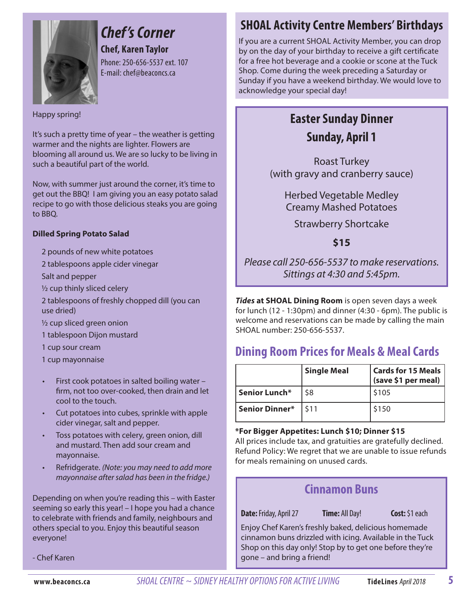

# *Chef 's Corner*

**Chef, Karen Taylor** Phone: 250-656-5537 ext. 107 E-mail: chef@beaconcs.ca

#### Happy spring!

It's such a pretty time of year – the weather is getting warmer and the nights are lighter. Flowers are blooming all around us. We are so lucky to be living in such a beautiful part of the world.

Now, with summer just around the corner, it's time to get out the BBQ! I am giving you an easy potato salad recipe to go with those delicious steaks you are going to BBQ.

#### **Dilled Spring Potato Salad**

- 2 pounds of new white potatoes
- 2 tablespoons apple cider vinegar

Salt and pepper

- ½ cup thinly sliced celery
- 2 tablespoons of freshly chopped dill (you can use dried)
- ½ cup sliced green onion
- 1 tablespoon Dijon mustard
- 1 cup sour cream
- 1 cup mayonnaise
- First cook potatoes in salted boiling water firm, not too over-cooked, then drain and let cool to the touch.
- Cut potatoes into cubes, sprinkle with apple cider vinegar, salt and pepper.
- Toss potatoes with celery, green onion, dill and mustard. Then add sour cream and mayonnaise.
- Refridgerate. (Note: you may need to add more mayonnaise after salad has been in the fridge.)

Depending on when you're reading this – with Easter seeming so early this year! – I hope you had a chance to celebrate with friends and family, neighbours and others special to you. Enjoy this beautiful season everyone!

- Chef Karen

# **SHOAL Activity Centre Members' Birthdays**

If you are a current SHOAL Activity Member, you can drop by on the day of your birthday to receive a gift certificate for a free hot beverage and a cookie or scone at the Tuck Shop. Come during the week preceding a Saturday or Sunday if you have a weekend birthday. We would love to acknowledge your special day!

## **Easter Sunday Dinner Sunday, April 1**

Roast Turkey (with gravy and cranberry sauce)

Herbed Vegetable Medley Creamy Mashed Potatoes

Strawberry Shortcake

**\$15**

Please call 250-656-5537 to make reservations. Sittings at 4:30 and 5:45pm.

*Tides* **at SHOAL Dining Room** is open seven days a week for lunch (12 - 1:30pm) and dinner (4:30 - 6pm). The public is welcome and reservations can be made by calling the main SHOAL number: 250-656-5537.

### **Dining Room Prices for Meals & Meal Cards**

|                | <b>Single Meal</b> | <b>Cards for 15 Meals</b><br>(save \$1 per meal) |
|----------------|--------------------|--------------------------------------------------|
| Senior Lunch*  | \$8                | \$105                                            |
| Senior Dinner* | I \$11             | \$150                                            |

#### **\*For Bigger Appetites: Lunch \$10; Dinner \$15**

All prices include tax, and gratuities are gratefully declined. Refund Policy: We regret that we are unable to issue refunds for meals remaining on unused cards.

#### **Cinnamon Buns**

**Date:** Friday, April 27 **Time:** All Day! **Cost:** \$1 each

Enjoy Chef Karen's freshly baked, delicious homemade cinnamon buns drizzled with icing. Available in the Tuck Shop on this day only! Stop by to get one before they're gone – and bring a friend!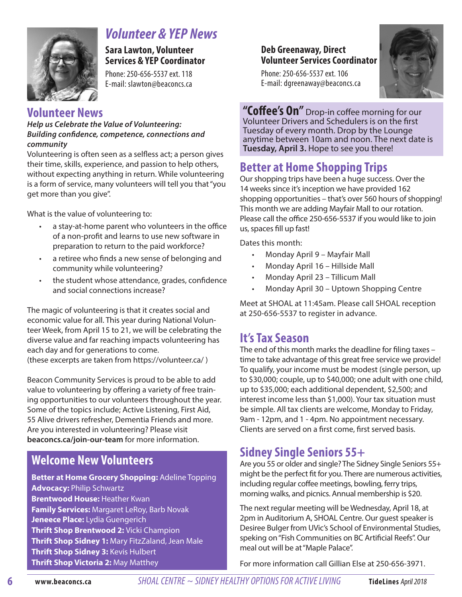

# *Volunteer & YEP News*

**Sara Lawton, Volunteer Services & YEP Coordinator** 

Phone: 250-656-5537 ext. 118 E-mail: slawton@beaconcs.ca

#### **Volunteer News**

*Help us Celebrate the Value of Volunteering: Building confidence, competence, connections and community*

Volunteering is often seen as a selfless act; a person gives their time, skills, experience, and passion to help others, without expecting anything in return. While volunteering is a form of service, many volunteers will tell you that "you get more than you give".

What is the value of volunteering to:

- a stay-at-home parent who volunteers in the office of a non-profit and learns to use new software in preparation to return to the paid workforce?
- a retiree who finds a new sense of belonging and community while volunteering?
- the student whose attendance, grades, confidence and social connections increase?

The magic of volunteering is that it creates social and economic value for all. This year during National Volunteer Week, from April 15 to 21, we will be celebrating the diverse value and far reaching impacts volunteering has each day and for generations to come. (these excerpts are taken from https://volunteer.ca/ )

Beacon Community Services is proud to be able to add value to volunteering by offering a variety of free training opportunities to our volunteers throughout the year. Some of the topics include; Active Listening, First Aid, 55 Alive drivers refresher, Dementia Friends and more. Are you interested in volunteering? Please visit **beaconcs.ca/join-our-team** for more information.

# **Welcome New Volunteers**

**Better at Home Grocery Shopping:** Adeline Topping **Advocacy:** Philip Schwartz **Brentwood House:** Heather Kwan **Family Services:** Margaret LeRoy, Barb Novak **Jeneece Place:** Lydia Guengerich **Thrift Shop Brentwood 2:** Vicki Champion **Thrift Shop Sidney 1:** Mary FitzZaland, Jean Male **Thrift Shop Sidney 3:** Kevis Hulbert **Thrift Shop Victoria 2:** May Matthey

#### **Deb Greenaway, Direct Volunteer Services Coordinator**

Phone: 250-656-5537 ext. 106 E-mail: dgreenaway@beaconcs.ca



**"Coffee's On"** Drop-in coffee morning for our Volunteer Drivers and Schedulers is on the first Tuesday of every month. Drop by the Lounge anytime between 10am and noon. The next date is **Tuesday, April 3.** Hope to see you there!

# **Better at Home Shopping Trips**

Our shopping trips have been a huge success. Over the 14 weeks since it's inception we have provided 162 shopping opportunities – that's over 560 hours of shopping! This month we are adding Mayfair Mall to our rotation. Please call the office 250-656-5537 if you would like to join us, spaces fill up fast!

Dates this month:

- Monday April 9 Mayfair Mall
- Monday April 16 Hillside Mall
- Monday April 23 Tillicum Mall
- Monday April 30 Uptown Shopping Centre

Meet at SHOAL at 11:45am. Please call SHOAL reception at 250-656-5537 to register in advance.

#### **It's Tax Season**

The end of this month marks the deadline for filing taxes – time to take advantage of this great free service we provide! To qualify, your income must be modest (single person, up to \$30,000; couple, up to \$40,000; one adult with one child, up to \$35,000; each additional dependent, \$2,500; and interest income less than \$1,000). Your tax situation must be simple. All tax clients are welcome, Monday to Friday, 9am - 12pm, and 1 - 4pm. No appointment necessary. Clients are served on a first come, first served basis.

### **Sidney Single Seniors 55+**

Are you 55 or older and single? The Sidney Single Seniors 55+ might be the perfect fit for you. There are numerous activities, including regular coffee meetings, bowling, ferry trips, morning walks, and picnics. Annual membership is \$20.

The next regular meeting will be Wednesday, April 18, at 2pm in Auditorium A, SHOAL Centre. Our guest speaker is Desiree Bulger from UVic's School of Environmental Studies, speking on "Fish Communities on BC Artificial Reefs". Our meal out will be at "Maple Palace".

For more information call Gillian Else at 250-656-3971.

**www.beaconcs.ca** *SHOAL CENTRE ~ SIDNEY HEALTHY OPTIONS FOR ACTIVE LIVING* **TideLines** April 2018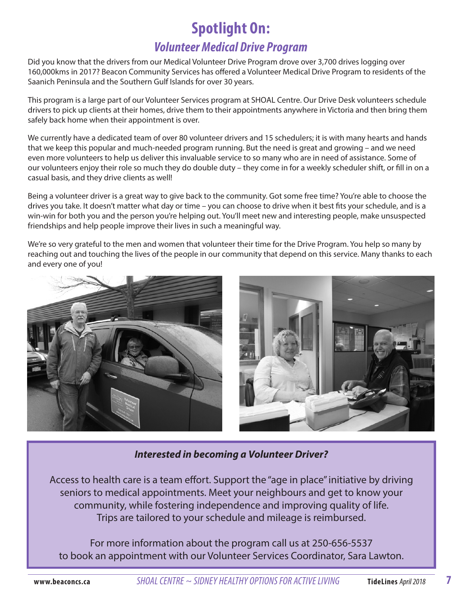# **Spotlight On:**

### *Volunteer Medical Drive Program*

Did you know that the drivers from our Medical Volunteer Drive Program drove over 3,700 drives logging over 160,000kms in 2017? Beacon Community Services has offered a Volunteer Medical Drive Program to residents of the Saanich Peninsula and the Southern Gulf Islands for over 30 years.

This program is a large part of our Volunteer Services program at SHOAL Centre. Our Drive Desk volunteers schedule drivers to pick up clients at their homes, drive them to their appointments anywhere in Victoria and then bring them safely back home when their appointment is over.

We currently have a dedicated team of over 80 volunteer drivers and 15 schedulers; it is with many hearts and hands that we keep this popular and much-needed program running. But the need is great and growing – and we need even more volunteers to help us deliver this invaluable service to so many who are in need of assistance. Some of our volunteers enjoy their role so much they do double duty – they come in for a weekly scheduler shift, or fill in on a casual basis, and they drive clients as well!

Being a volunteer driver is a great way to give back to the community. Got some free time? You're able to choose the drives you take. It doesn't matter what day or time – you can choose to drive when it best fits your schedule, and is a win-win for both you and the person you're helping out. You'll meet new and interesting people, make unsuspected friendships and help people improve their lives in such a meaningful way.

We're so very grateful to the men and women that volunteer their time for the Drive Program. You help so many by reaching out and touching the lives of the people in our community that depend on this service. Many thanks to each and every one of you!



#### *Interested in becoming a Volunteer Driver?*

Access to health care is a team effort. Support the "age in place" initiative by driving seniors to medical appointments. Meet your neighbours and get to know your community, while fostering independence and improving quality of life. Trips are tailored to your schedule and mileage is reimbursed.

For more information about the program call us at 250-656-5537 to book an appointment with our Volunteer Services Coordinator, Sara Lawton.

**7**